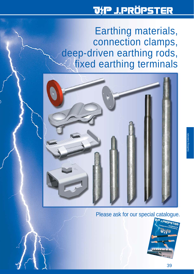# <u> JtP J.PRÖPSTER</u>

Earthing materials, connection clamps, deep-driven earthing rods, fixed earthing terminals



## Please ask for our special catalogue.

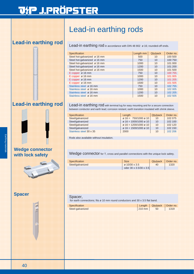# Lead-in earthing rods

Lead-in earthing rod Lead-in earthing rod in accordance with DIN 48 802 ø 16; rounded-off ends.

| Specification                | Length mm | Qty/pack | Order no. |
|------------------------------|-----------|----------|-----------|
| Steel hot-galvanized ø 16 mm | 500       | 10       | 100 500   |
| Steel hot-galvanized ø 16 mm | 750       | 10       | 100 750   |
| Steel hot-galvanized ø 16 mm | 1000      | 10       | 101 000   |
| Steel hot-galvanized ø 16 mm | 1200      | 10       | 101 200   |
| Steel hot-galvanized ø 16 mm | 1500      | 10       | 101 500   |
| E copper $\varnothing$ 16 mm | 750       | 10       | 100 755   |
| E copper $\varnothing$ 16 mm | 1000      | 10       | 101 005   |
| E copper $\varnothing$ 16 mm | 1200      | 10       | 101 205   |
| E copper $\varnothing$ 16 mm | 1500      | 10       | 101 505   |
| Stainless steel ø 16 mm      | 750       | 10       | 102 755   |
| Stainless steel ø 16 mm      | 1000      | 10       | 102 005   |
| Stainless steel ø 16 mm      | 1200      | 10       | 102 205   |
| Stainless steel ø 16 mm      | 1500      | 10       | 102 505   |
|                              |           |          |           |

## **Lead-in earthing rod**



# **Wedge connector**



**Spacer**

Lead-in earthing rod with terminal lug for easy mounting and for a secure connection between conductor and earth lead; corrosion reistant; earth transition insulated with shrink sleeve.

| Specification           | Length                                        | Qty/pack | Order no. |
|-------------------------|-----------------------------------------------|----------|-----------|
| Steel/galvanized        | $\varnothing$ 16 = 750/1000 $\varnothing$ 10  | 10       | 102 075   |
| Steel/galvanized        | $\varnothing$ 16 = 1000/1000 $\varnothing$ 10 | 10       | 102 100   |
| Steel/galvanized        | $\varnothing$ 16 = 1200/1000 $\varnothing$ 10 | 10       | 102 120   |
| Steel/galvanized        | $\varnothing$ 16 = 1500/1000 $\varnothing$ 10 | 10       | 102 150   |
| Stainless steel 30 x 35 | 2000                                          | 10       | 102 206   |

Rods also available without insulation.

Wedge connector for T, cross and parallel connections with the unique lock safety.

| Specification    | <b>Size</b>                        | Qty/pack   Order no. |      |
|------------------|------------------------------------|----------------------|------|
| Steel/galvanized | $\varnothing$ 10/30 x 3.5          | 40                   | 1320 |
|                  | oder $30 \times 3.5/30 \times 3.5$ |                      |      |

### Spacer,

for earth connections; fits ø 10 mm round conductors and 30 x 3.5 flat band.

| Specification    | Length   Qty/pack   Order no.   |              |
|------------------|---------------------------------|--------------|
| Steel-galvanized | $\vert 210 \text{ mm} \vert$ 50 | $\vert$ 1319 |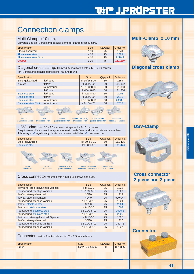# Connection clamps

### Multi-Clamp ø 10 mm,

Universal use as T, cross and parallel clamp for ø10 mm conductors.

| Specification           | <b>Size</b>      | Qty/pack | Order no. |
|-------------------------|------------------|----------|-----------|
| Steel/galvanized        | $\varnothing$ 10 | 75       | 1278      |
| All stainless steel     | $\varnothing$ 10 | 75       | 1279      |
| All stainless steel V4A | $\varnothing$ 10 | 75       | 1279 S    |
| Copper                  | $\varnothing$ 10 | 75       | 111 280   |

Diagonal cross clamp, Heavy-duty realization with 2 M10 x 30 screws for T, cross and parallel connections; flat and round.

| Specification              |             | <b>Size</b>                            | Qty/pack | Order no. |
|----------------------------|-------------|----------------------------------------|----------|-----------|
| Steel/galvanized           | flat/round  | fl. $30/\emptyset$ 8-10                | 50       | 1354      |
| 2 pieces                   | flat/flat   | fl. 30/fl. 30                          | 50       | 111 352   |
|                            | round/round | Ø 8-10/Ø 8-10                          | 50       | 111 353   |
|                            | flat/round  | fl. $40/\varnothing$ 8-10              | 50       | 111 354   |
| <b>Stainless steel</b>     | flat/round  | fl. $30/\sigma$ 8-10                   | 50       | 2008      |
| <b>Stainless steel</b>     | flat/flat   | fl. 30/fl. 30                          | 50       | 2015      |
| <b>Stainless steel</b>     | round/round | $\varnothing$ 8-10/ $\varnothing$ 8-10 | 50       | 2008 S    |
| <b>Stainless steel V4A</b> | round/round | Ø 8-10/Ø 20                            | 50       | 2017      |
|                            |             |                                        |          |           |

flat/flat flat/flat flat/flat round/round (ø 10) flat/flat + round flach/flach parallel connector cross connector parallel connector cross connector parallel connector diagonal connector

USV - clamp for 30 x 3.5 mm earth straps and ø 8-10 mm wires. Easy-to-assemble connection system for earth leads flat/round in concrete and aerial lines. Advantage:  $\bullet$  significantly shorter and easier installation  $\bullet$  universal use.



### Cross connector mounted with 4 M8 x 25 screws and nuts.

| Specification                         | <b>Size</b>                            | Qty/pack | Order no. |
|---------------------------------------|----------------------------------------|----------|-----------|
| flat/round, steel-galvanized, 2 piece | $\varnothing$ 8-10/30                  | 25       | 1322      |
| round/round, steel-galvanized         | $\varnothing$ 8-10/ $\varnothing$ 8-10 | 25       | 1329      |
| flat/flat, steel-galvanized           | 30/30                                  | 25       | 1323      |
| flat/flat, steel-galvanized           | 40/40                                  | 25       | 900 047   |
| round/round, steel-galvanized         | $\varnothing$ 8-10/ $\varnothing$ 16   | 25       | 1324      |
| flat/flat, stainless steel            | 30/30                                  | 25       | 2004      |
| flat/round, stainless steel           | $\varnothing$ 8-10/30                  | 25       | 2003      |
| round/round, stainless steel          | $\varnothing$ 8-10/ $\varnothing$ 8-10 | 25       | 2005S     |
| round/round, stainless steel          | $\varnothing$ 8-10/ $\varnothing$ 16   | 25       | 2005      |
| flat/round, steel-galvanized, 3 piece | Ø 8-10/30                              | 25       | 1325      |
| flat/flat, steel-galvanized           | 30/30                                  | 25       | 1326      |
| round/round, steel-galvanized         | $\varnothing$ 8-10/ $\varnothing$ 8-10 | 25       | 1327 S    |
| round/round, steel-galvanized         | $\varnothing$ 8-10/ $\varnothing$ 16   | 25       | 1327      |
|                                       |                                        |          |           |

Connector, test or Junction clamp for 20 x 2,5 mm in brass

| Specification | <b>Size</b>      | Qty/pack   Order no. |         |
|---------------|------------------|----------------------|---------|
| <b>Brass</b>  | flat 20 x 2.5 mm | 50                   | 801 305 |
|               |                  |                      |         |

### **Multi-Clamp ø 10 mm**



### **Diagonal cross clamp**



### **USV-Clamp**



### **Cross connector 2 piece and 3 piece**



### **Connector**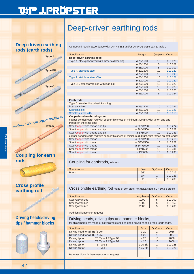# <u> JtP J.PRÖPSTER</u>

**Deep-driven earthing rods (earth rods)** 



## **Coupling for earth rods**

### **Cross profile earthing rod**

**Driving heads/driving tips / hammer blocks**

# Deep-driven earthing rods

Compound rods in accordance with DIN 48 852 and/or DIN/VDE 0185 part 1, table 2.

| Specification                                     | Length                | Qty/pack        | Order no. |
|---------------------------------------------------|-----------------------|-----------------|-----------|
| Deep-driven earthing rods:                        |                       |                 |           |
| Type A, steel/galvanized with three-fold knurling | Ø 20/1500             | 10              | 110 020   |
|                                                   | ø 25/1500             | 5               | 110 027   |
|                                                   | Ø 25/1000             | 5               | 110 019   |
| Type A, stainless steel                           | Ø 20/1500             | 10              | 110 120   |
|                                                   | Ø 20/1000             | 10              | 910 095   |
| Type A, stainless steel V4A                       | Ø 20/1500             | 10              | 110 121   |
|                                                   | Ø 20/1000             | 10              | 110 122   |
| Type BP, steel/galvanized with lead ball          | Ø 20/1500             | 10              | 110 022   |
|                                                   | Ø 20/1000             | 10              | 110 029   |
|                                                   | ø 25/1500             | 5               | 110 025   |
|                                                   | Ø 25/1000             | 5               | 110 024   |
|                                                   |                       |                 |           |
| Earth rods:                                       |                       |                 |           |
| Type C, steel/ordinary bath finishing             |                       |                 |           |
| hot-galvanized                                    | ø 25/1500             | 10              | 110 021   |
| Stainless stell                                   | $\varnothing$ 25/1500 | 10 <sup>1</sup> | 110 026   |
| <b>Stainless steel V4A</b>                        | Ø 25/1500             | 10              | 110 018   |
|                                                   |                       |                 |           |

#### **Copperbond earth rod system:**

copper bonded earth rod with copper thickness of minimum 300 μm, with tip on one and thread on the other end:

| unvaa voi use vulvi voiva.                                                                 |             |    |         |  |
|--------------------------------------------------------------------------------------------|-------------|----|---------|--|
| Steel/copper with thread and tip                                                           | Ø 5/8"/1200 | 10 | 110 224 |  |
| Steel/copper with thread and tip                                                           | Ø 3/4"/1500 | 10 | 110 222 |  |
| Steel/copper with thread and tip                                                           | ø 1"/1500   | 10 | 110 233 |  |
| copper bonded earth rod with copper thickness of minimum 300 µm, with thread on both ends: |             |    |         |  |
| Steel/copper with thread                                                                   | Ø 5/8"/1200 | 10 | 110 210 |  |
| Steel/copper with thread                                                                   | Ø 5/8"/1500 | 10 | 110 227 |  |
| Steel/copper with thread                                                                   | Ø 3/4"/1500 | 10 | 110 221 |  |
| Steel/copper with thread                                                                   | ø 1"/1500   | 10 | 110 231 |  |
| Steel/copper with thread                                                                   | ø 1"/3000   | 10 | 110 233 |  |
|                                                                                            |             |    |         |  |

### Coupling for earthrods, in brass

| Specification | <b>Size</b> | Qty/pack   Order no. |
|---------------|-------------|----------------------|
| <b>Brass</b>  | 5/8"        | 110 215              |
|               | 3/4"        | 110 225              |
|               | 411         | 110 235              |

Cross profile earthing rod made of soft steel; hot-galvanized, 50 x 50 x 3 profile

| Specification    | Length mm | Qty/pack | Order no. |
|------------------|-----------|----------|-----------|
| Steel/galvanized | 1000      | 5.       | 110 100   |
| Steel/galvanized | 1500      | 5        | 110 150   |
| Steel/galvanized | 2000      | 5        | 110 200   |

Additional lengths on request.

#### Driving heads, driving tips and hammer blocks,

for chisel hammers made of galvanized steel. Fits deep-driven earthing rods (earth rods).

| Specification                  |                     | <b>Size</b>      | Qty/pack | Order no. |
|--------------------------------|---------------------|------------------|----------|-----------|
| Driving head for all TE (ø 20) |                     | $\varnothing$ 20 |          | 2056      |
| Driving head for all TE (ø 25) |                     | $\varnothing$ 25 |          | 2057      |
| Driving tip for                | TE Type A / Type BP | $\varnothing$ 20 | 10       | 2058      |
| Driving tip for                | TE Type A / Type BP | $\varnothing$ 25 | 10       | 2059      |
| Driving tip for                | TE Type B           | ø 20-6kt         |          | 910 225   |
| Driving tip for                | TE Type B           | ø 25-6kt         |          | 910 226   |
|                                |                     |                  |          |           |
|                                |                     |                  |          |           |

Hammer block for hammer-type on request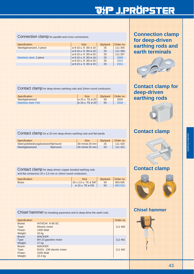# <u> JYP J.PRÖPSTER</u>

Connection clamp for parallel and cross connections.

| Order no. |
|-----------|
| 111 355   |
| 111 356   |
| 111 357   |
| 2009      |
| 2010      |
| 2011      |
|           |

Contact clamp for deep-driven earthing rods and 10mm round conductors.

| <b>Specification</b> | <b>Size</b>                   | Qty/pack | Order no. |
|----------------------|-------------------------------|----------|-----------|
| Steel/galvanized     | $\sigma$ 10 u. TE $\sigma$ 20 | 50       | 2020      |
| Stainless steel V4A  | ø 10 u. TE ø 20 l             | 50       | 2018      |

Contact clamp for ø 20 mm deep-driven earthing rods and flat bands

| Specification                          |            | <b>Size</b>              | Qty/pack   Order no. |         |
|----------------------------------------|------------|--------------------------|----------------------|---------|
| Steel-polished/ungalvanized flat/round |            | $40$ mm/ $\alpha$ 20 mm  | 25                   | 111 420 |
| Steel/galvanized                       | flat/round | $ 40$ mm/ $\alpha$ 20 mm | 25                   | 111 421 |

Contact clamp for deep-driven copper bonded earthing rods and flat conductors 20 x 2,5 mm or 10mm round conductors.

| Specification | <b>Size</b>                              | Qty/pack   Order no. |         |
|---------------|------------------------------------------|----------------------|---------|
| <b>Brass</b>  | $ 20 \times 2.5 \text{ u}$ . TE ø 5/8"   | 50                   | 803 505 |
|               | $\varnothing$ 10 u. TE $\varnothing$ 5/8 | 50                   | 803 510 |

| Chisel hammer for breaking pavement and to deep-drive the earth rods. |
|-----------------------------------------------------------------------|
|                                                                       |

| Specification |                           | Order no. |
|---------------|---------------------------|-----------|
| Brand:        | HITACHI H 90 SC           |           |
| Type:         | Electric motor            | 111 460   |
| Power:        | <b>1450 Watt</b>          |           |
| Weight:       | 32 kg                     |           |
| Brand:        | <b>WACKER</b>             |           |
| Type:         | BH 23 gasoline motor      | 111 461   |
| Weight:       | 27 kg                     |           |
| Brand:        | <b>WACKER</b>             |           |
| Type:         | EH23 - 230 electric motor | 111 462   |
| Power:        | 2200 Watt                 |           |
| Weight:       | 22.4 kg                   |           |

**Connection clamp for deep-driven earthing rods and earth terminals**



## **Contact clamp for deep-driven earthing rods**



## **Contact clamp**



## **Contact clamp**



### **Chisel hammer**

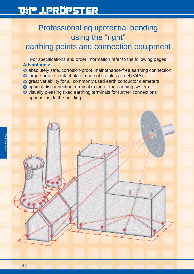# Professional equipotential bonding using the "right"

# earthing points and connection equipment

For specifications and order information refer to the following pages **Advantages:**

- absolutely safe, corrosion-proof, maintenance-free earthing connection
- large-surface contact plate made of stainless steel (V4A)
- $\bigcirc$  great variability for all commonly used earth conductor diameters
- $\bullet$  optimal disconnection terminal to meter the earthing system
- visually pleasing fixed earthing terminals for further connections options inside the building

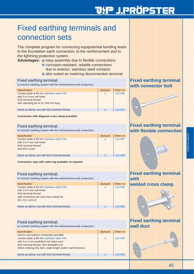# Fixed earthing terminals and connection sets

The complete program for connecting equipotential bonding leads to the foundation earth connection, to the reinforcement and to the lightning protection system.

**Advantages:**  $\bullet$  easy assembly due to flexible connections

- corrosion-resistant, reliable connections due to exterior, stainless steel contacts
- $\bullet$  also suited as metering disconnection terminal

#### Fixed earthing terminal,

to connect earthing system with the reinforcement and conductors.

| Specification                                                                      | Qty/pack | Order no. |
|------------------------------------------------------------------------------------|----------|-----------|
| Contact plate ø 80 mm stainless steel V4A<br>with $3 \varnothing 4$ mm nail holes  |          | 112 006   |
| M <sub>10</sub> terminal thread<br>with clamping pin $\varnothing$ 10, 200 mm long |          |           |
| Same as above, but with M12 terminal thread                                        |          | 112 001   |
|                                                                                    |          |           |

#### **Connection with diagonal cross clamp possible!**

#### Fixed earthing terminal,

to connect earthing system with the reinforcement and conductors.

| Specification                                                                                                                         | Qty/pack | Order no. |
|---------------------------------------------------------------------------------------------------------------------------------------|----------|-----------|
| Contact plate ø 80 mm stainless steel V4A<br>with $3 \varnothing 4$ mm nail holes<br>M <sub>10</sub> terminal thread<br>and M10 screw |          | 112 007   |
| Same as above, but with M12 terminal thread                                                                                           |          | 112 004   |

#### **Connection rope with cable lug available on request!**

### Fixed earthing terminal,

to connect earthing system with the reinforcement and conductors.

| Specification                               | Qty/pack | Order no. |
|---------------------------------------------|----------|-----------|
| Contact plate ø 80 mm stainless steel V4A   |          | 112 008   |
| with $3 \varnothing 4$ mm nail holes        |          |           |
| M <sub>10</sub> terminal thread             |          |           |
| with connection pin and cross clamp for     |          |           |
| $30 \times 3.5 / \varnothing 8 - 10$        |          |           |
|                                             |          |           |
| Same as above, but with M12 terminal thread |          | 112 002   |
|                                             |          |           |

### Fixed earthing terminal,

to connect earthing system with the reinforcement and conductors.

| Specification                                                  | Qty/pack | Order no. |
|----------------------------------------------------------------|----------|-----------|
| Interior and exterior connection possible.                     |          |           |
| Contact plate ø 80 mm stainless steel V4A                      |          | 112 009   |
| with 3 ø 4 mm predrilled nail holes each                       |          |           |
| M <sub>10</sub> terminal thread, M <sub>10</sub> threaded rod. |          |           |
| When ordering this item, state length and/or wall thickness.   |          |           |
| Same as above, but with M12 terminal thread                    |          |           |

### **Fixed earthing terminal with connector bolt**



### **Fixed earthing terminal with flexible connection**



## **Fixed earthing terminal wall duct**